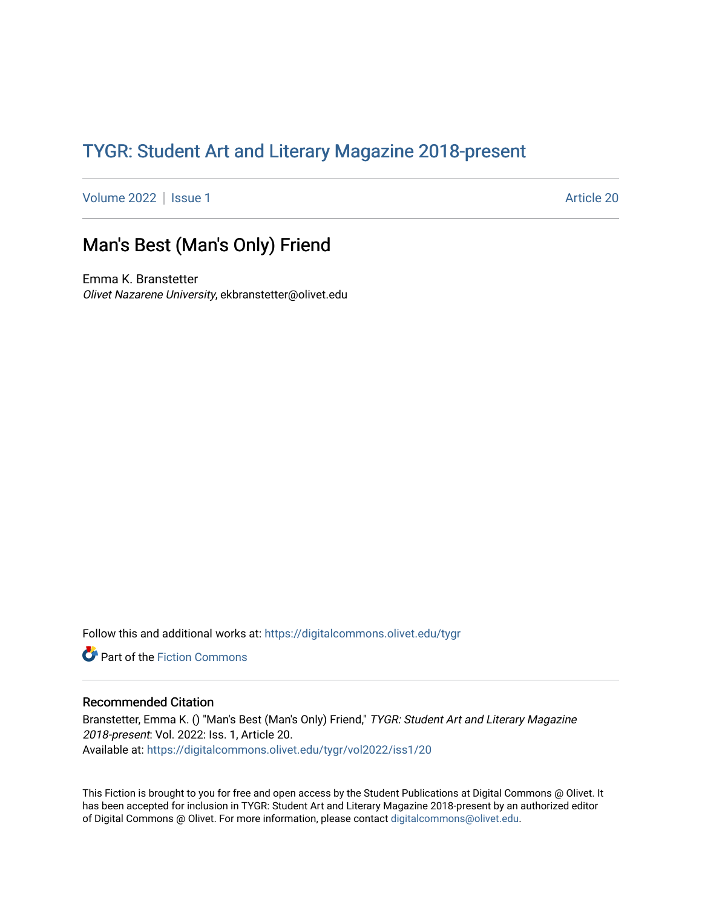## TYGR: Student Art and Literary Magazine 2018-present

[Volume 2022](https://digitalcommons.olivet.edu/tygr/vol2022) | [Issue 1](https://digitalcommons.olivet.edu/tygr/vol2022/iss1) Article 20

## Man's Best (Man's Only) Friend

Emma K. Branstetter Olivet Nazarene University, ekbranstetter@olivet.edu

Follow this and additional works at: [https://digitalcommons.olivet.edu/tygr](https://digitalcommons.olivet.edu/tygr?utm_source=digitalcommons.olivet.edu%2Ftygr%2Fvol2022%2Fiss1%2F20&utm_medium=PDF&utm_campaign=PDFCoverPages)

Part of the [Fiction Commons](http://network.bepress.com/hgg/discipline/1151?utm_source=digitalcommons.olivet.edu%2Ftygr%2Fvol2022%2Fiss1%2F20&utm_medium=PDF&utm_campaign=PDFCoverPages) 

## Recommended Citation

Branstetter, Emma K. () "Man's Best (Man's Only) Friend," TYGR: Student Art and Literary Magazine 2018-present: Vol. 2022: Iss. 1, Article 20. Available at: [https://digitalcommons.olivet.edu/tygr/vol2022/iss1/20](https://digitalcommons.olivet.edu/tygr/vol2022/iss1/20?utm_source=digitalcommons.olivet.edu%2Ftygr%2Fvol2022%2Fiss1%2F20&utm_medium=PDF&utm_campaign=PDFCoverPages) 

This Fiction is brought to you for free and open access by the Student Publications at Digital Commons @ Olivet. It has been accepted for inclusion in TYGR: Student Art and Literary Magazine 2018-present by an authorized editor of Digital Commons @ Olivet. For more information, please contact [digitalcommons@olivet.edu.](mailto:digitalcommons@olivet.edu)